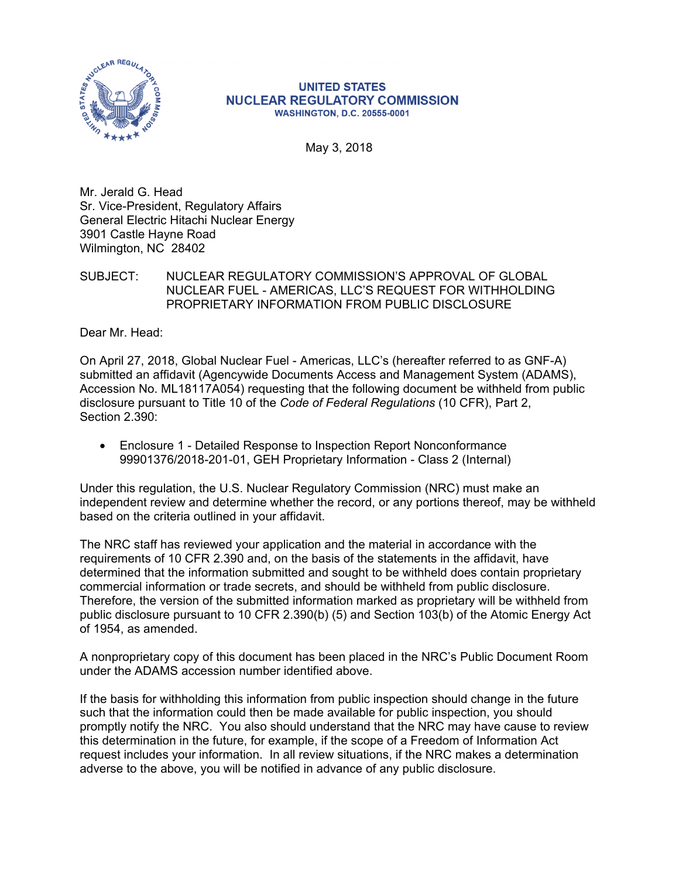

## **UNITED STATES NUCLEAR REGULATORY COMMISSION WASHINGTON, D.C. 20555-0001**

May 3, 2018

Mr. Jerald G. Head Sr. Vice-President, Regulatory Affairs General Electric Hitachi Nuclear Energy 3901 Castle Hayne Road Wilmington, NC 28402

## SUBJECT: NUCLEAR REGULATORY COMMISSION'S APPROVAL OF GLOBAL NUCLEAR FUEL - AMERICAS, LLC'S REQUEST FOR WITHHOLDING PROPRIETARY INFORMATION FROM PUBLIC DISCLOSURE

Dear Mr. Head:

On April 27, 2018, Global Nuclear Fuel - Americas, LLC's (hereafter referred to as GNF-A) submitted an affidavit (Agencywide Documents Access and Management System (ADAMS), Accession No. ML18117A054) requesting that the following document be withheld from public disclosure pursuant to Title 10 of the *Code of Federal Regulations* (10 CFR), Part 2, Section 2.390:

• Enclosure 1 - Detailed Response to Inspection Report Nonconformance 99901376/2018-201-01, GEH Proprietary Information - Class 2 (Internal)

Under this regulation, the U.S. Nuclear Regulatory Commission (NRC) must make an independent review and determine whether the record, or any portions thereof, may be withheld based on the criteria outlined in your affidavit.

The NRC staff has reviewed your application and the material in accordance with the requirements of 10 CFR 2.390 and, on the basis of the statements in the affidavit, have determined that the information submitted and sought to be withheld does contain proprietary commercial information or trade secrets, and should be withheld from public disclosure. Therefore, the version of the submitted information marked as proprietary will be withheld from public disclosure pursuant to 10 CFR 2.390(b) (5) and Section 103(b) of the Atomic Energy Act of 1954, as amended.

A nonproprietary copy of this document has been placed in the NRC's Public Document Room under the ADAMS accession number identified above.

If the basis for withholding this information from public inspection should change in the future such that the information could then be made available for public inspection, you should promptly notify the NRC. You also should understand that the NRC may have cause to review this determination in the future, for example, if the scope of a Freedom of Information Act request includes your information. In all review situations, if the NRC makes a determination adverse to the above, you will be notified in advance of any public disclosure.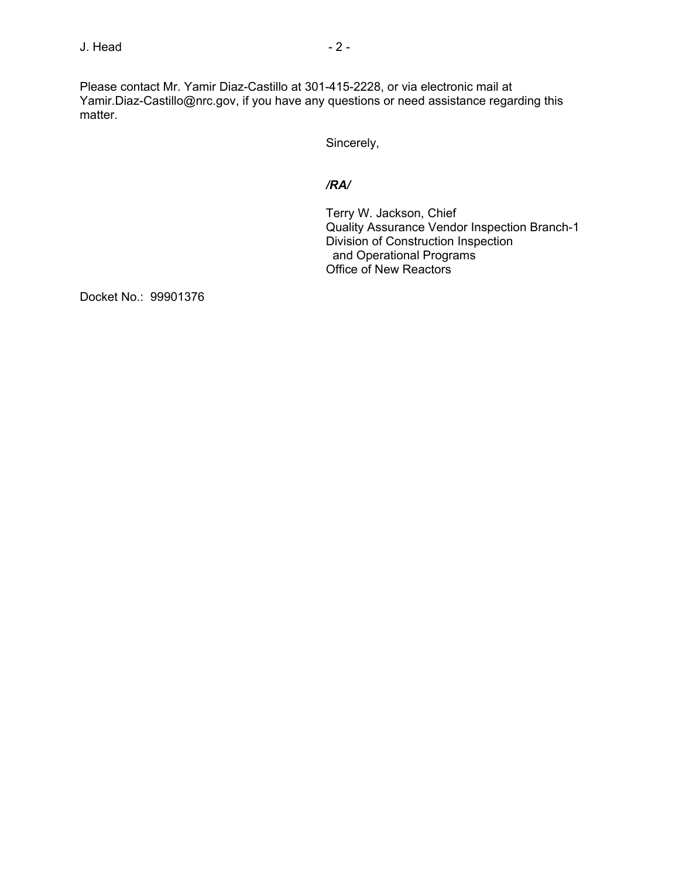Please contact Mr. Yamir Diaz-Castillo at 301-415-2228, or via electronic mail at Yamir.Diaz-Castillo@nrc.gov, if you have any questions or need assistance regarding this matter.

Sincerely,

## */RA/*

Terry W. Jackson, Chief Quality Assurance Vendor Inspection Branch-1 Division of Construction Inspection and Operational Programs Office of New Reactors

Docket No.: 99901376